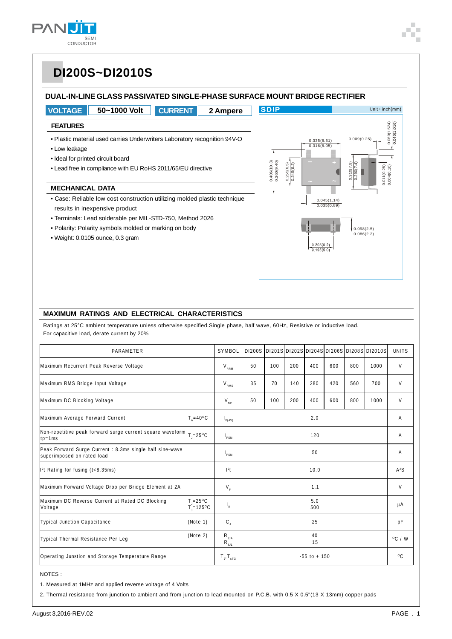

### **DUAL-IN-LINE GLASS PASSIVATED SINGLE-PHASE SURFACE MOUNT BRIDGE RECTIFIER**



### **MAXIMUM RATINGS AND ELECTRICAL CHARACTERISTICS**

Ratings at 25°C ambient temperature unless otherwise specified.Single phase, half wave, 60Hz, Resistive or inductive load. For capacitive load, derate current by 20%

| PARAMETER                                                                                             |                                         | SYMBOL                                                              |                 |     |     |      |                  |              | DI200S DI201S DI202S DI204S DI206S DI208S DI2010S | <b>UNITS</b> |
|-------------------------------------------------------------------------------------------------------|-----------------------------------------|---------------------------------------------------------------------|-----------------|-----|-----|------|------------------|--------------|---------------------------------------------------|--------------|
| Maximum Recurrent Peak Reverse Voltage                                                                |                                         | $V_{RRM}$                                                           | 50              | 100 | 200 | 400  | 600              | 800          | 1000                                              | V            |
| Maximum RMS Bridge Input Voltage                                                                      |                                         | $V_{RMS}$                                                           | 35              | 70  | 140 | 280  | 420              | 560          | 700                                               | V            |
| Maximum DC Blocking Voltage                                                                           |                                         | $V_{DC}$                                                            | 50              | 100 | 200 | 400  | 600              | 800          | 1000                                              | V            |
| Maximum Average Forward Current                                                                       | $T_{\text{A}} = 40^{\circ}C$            | $I_{F(AV)}$                                                         | 2.0             |     |     |      |                  |              | A                                                 |              |
| Non-repetitive peak forward surge current square waveform $_{T,=25\,^{\circ}\text{C}}$<br>$tp = 1 ms$ |                                         | $I_{FSM}$                                                           | 120             |     |     |      | A                |              |                                                   |              |
| Peak Forward Surge Current: 8.3ms single half sine-wave<br>superimposed on rated load                 |                                         | $I_{FSM}$                                                           |                 |     |     | 50   |                  |              |                                                   | A            |
| 1 <sup>2</sup> t Rating for fusing (t<8.35ms)                                                         |                                         | $12$ t                                                              |                 |     |     | 10.0 |                  |              |                                                   | $A^2S$       |
| Maximum Forward Voltage Drop per Bridge Element at 2A                                                 |                                         | $V_F$                                                               |                 |     |     | 1.1  |                  |              |                                                   | V            |
| Maximum DC Reverse Current at Rated DC Blocking<br>Voltage                                            | $T = 25^{\circ}C$<br>$T = 125^{\circ}C$ | $\mathsf{I}_{\mathsf{R}}$                                           | 5.0<br>500      |     |     |      |                  |              | μA                                                |              |
| <b>Typical Junction Capacitance</b>                                                                   | (Note 1)                                | $C_{\rm J}$                                                         | 25              |     |     |      |                  | pF           |                                                   |              |
| Typical Thermal Resistance Per Leg                                                                    | (Note 2)                                | $\mathsf{R}_{_{\boldsymbol{\theta}\mathsf{JA}}}$<br>$R_{\theta JL}$ | 40<br>15        |     |     |      | $^{\circ}$ C / W |              |                                                   |              |
| Operating Junstion and Storage Temperature Range                                                      |                                         | $T_{J}$ , $T_{sTG}$                                                 | $-55$ to $+150$ |     |     |      |                  | $^{\circ}$ C |                                                   |              |

#### NOTES :

1. Measured at 1MHz and applied reverse voltage of 4 Volts

2. Thermal resistance from junction to ambient and from junction to lead mounted on P.C.B. with 0.5 X 0.5"(13 X 13mm) copper pads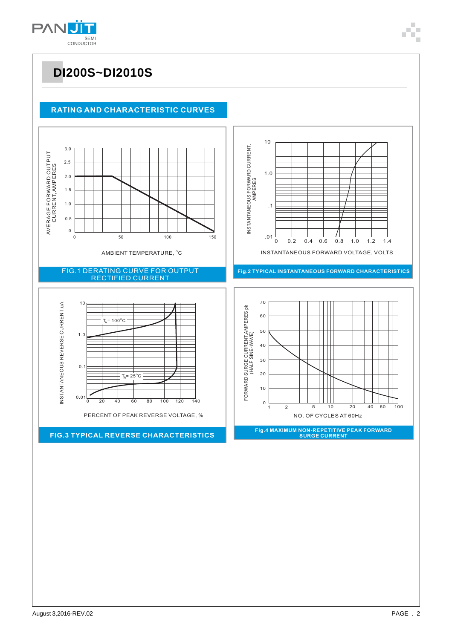

### **RATING AND CHARACTERISTIC CURVES**

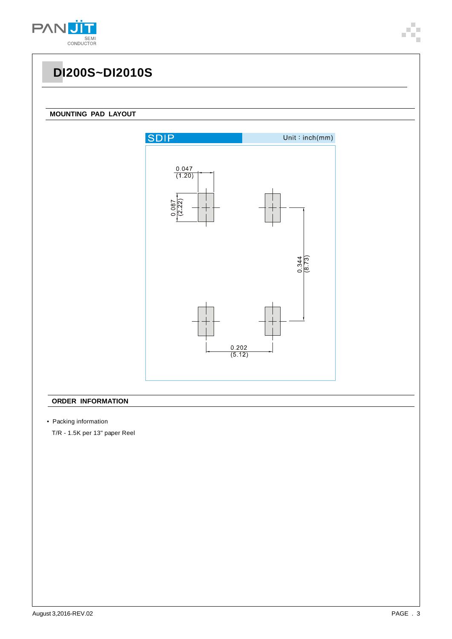

### **MOUNTING PAD LAYOUT**



### **ORDER INFORMATION**

• Packing information

T/R - 1.5K per 13" paper Reel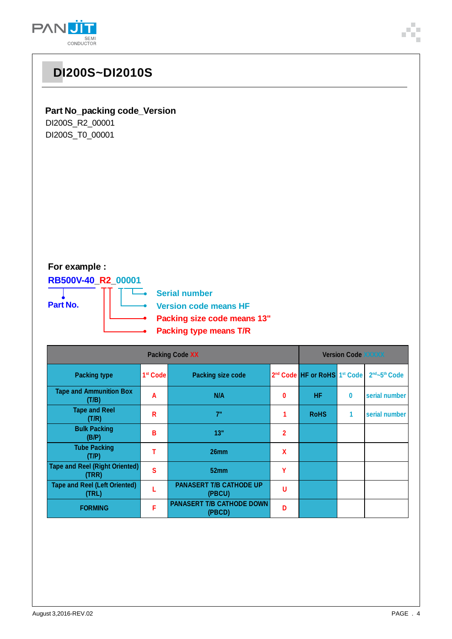



### **Part No\_packing code\_Version**

**DI200S~DI2010S**

DI200S\_R2\_00001 DI200S\_T0\_00001

### **For example :**

**RB500V-40\_R2\_00001**



**Serial number**

**Version code means HF**

- **Packing size code means 13"**
	- **Packing type means T/R**

| <b>Packing Code XX</b>                         |                      |                                            |              | <b>Version Code XXXXX</b>                            |   |               |  |  |
|------------------------------------------------|----------------------|--------------------------------------------|--------------|------------------------------------------------------|---|---------------|--|--|
| <b>Packing type</b>                            | 1 <sup>st</sup> Code | <b>Packing size code</b>                   |              | 2 <sup>nd</sup> Code HF or RoHS 1 <sup>st</sup> Code |   | 2nd~5th Code  |  |  |
| <b>Tape and Ammunition Box</b><br>(T/B)        | A                    | N/A                                        | 0            | <b>HF</b>                                            | 0 | serial number |  |  |
| <b>Tape and Reel</b><br>(T/R)                  | R                    | 7"                                         |              | <b>RoHS</b>                                          | 1 | serial number |  |  |
| <b>Bulk Packing</b><br>(B/P)                   | В                    | 13"                                        | $\mathbf{2}$ |                                                      |   |               |  |  |
| <b>Tube Packing</b><br>(T/P)                   |                      | 26 <sub>mm</sub>                           | $\mathbf x$  |                                                      |   |               |  |  |
| <b>Tape and Reel (Right Oriented)</b><br>(TRR) | S                    | 52mm                                       | Υ            |                                                      |   |               |  |  |
| <b>Tape and Reel (Left Oriented)</b><br>(TRL)  |                      | <b>PANASERT T/B CATHODE UP</b><br>(PBCU)   | U            |                                                      |   |               |  |  |
| <b>FORMING</b>                                 | F                    | <b>PANASERT T/B CATHODE DOWN</b><br>(PBCD) | D            |                                                      |   |               |  |  |